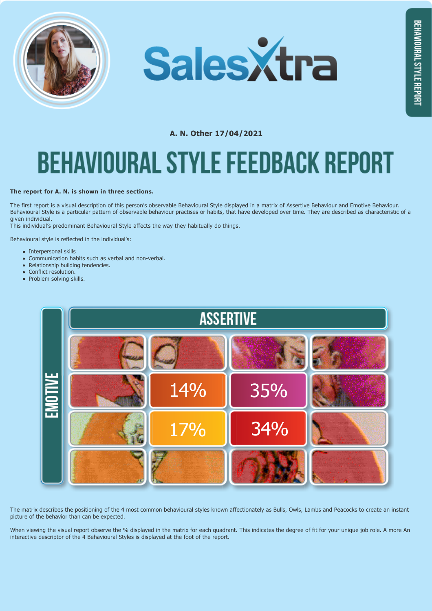



# **A. N. Other 17/04/2021 BEHAVIOURAL STYLE FEEDBACK REPORT**

#### **The report for A. N. is shown in three sections.**

The first report is a visual description of this person's observable Behavioural Style displayed in a matrix of Assertive Behaviour and Emotive Behaviour. Behavioural Style is a particular pattern of observable behaviour practises or habits, that have developed over time. They are described as characteristic of a given individual.

This individual's predominant Behavioural Style affects the way they habitually do things.

Behavioural style is reflected in the individual's:

- Internersonal skills
- Communication habits such as verbal and non-verbal.
- Relationship building tendencies.  $\bullet$
- Conflict resolution.  $\bullet$
- Problem solving skills.



The matrix describes the positioning of the 4 most common behavioural styles known affectionately as Bulls, Owls, Lambs and Peacocks to create an instant picture of the behavior than can be expected.

When viewing the visual report observe the % displayed in the matrix for each quadrant. This indicates the degree of fit for your unique job role. A more An interactive descriptor of the 4 Behavioural Styles is displayed at the foot of the report.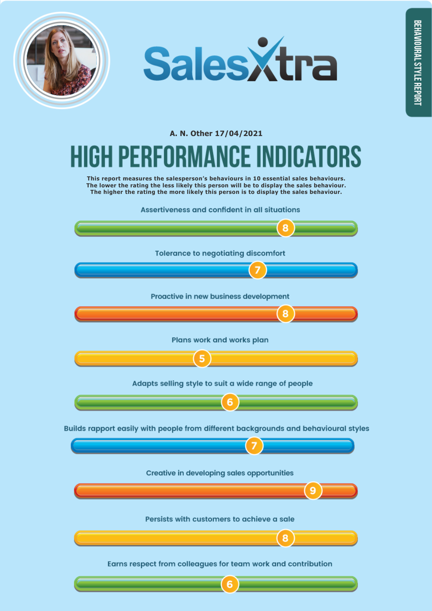



### **A. N. Other 17/04/2021**

## RS

**This report measures the salesperson's behaviours in 10 essential sales behaviours. The lower the rating the less likely this person will be to display the sales behaviour. The higher the rating the more likely this person is to display the sales behaviour.**